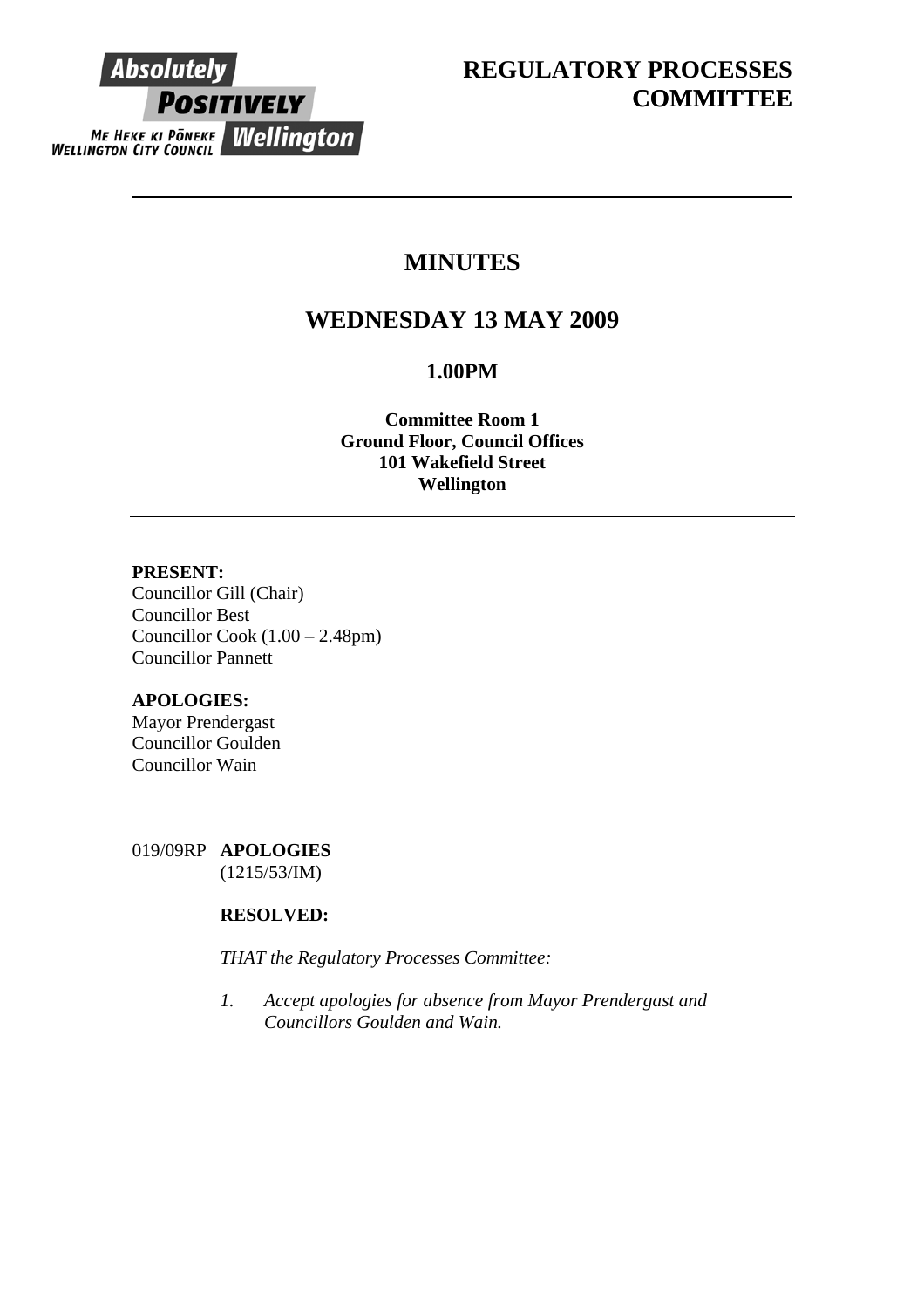

# **MINUTES**

# **WEDNESDAY 13 MAY 2009**

# **1.00PM**

**Committee Room 1 Ground Floor, Council Offices 101 Wakefield Street Wellington** 

# **PRESENT:**

Councillor Gill (Chair) Councillor Best Councillor Cook (1.00 – 2.48pm) Councillor Pannett

# **APOLOGIES:**

Mayor Prendergast Councillor Goulden Councillor Wain

019/09RP **APOLOGIES**  (1215/53/IM)

# **RESOLVED:**

*THAT the Regulatory Processes Committee:* 

*1. Accept apologies for absence from Mayor Prendergast and Councillors Goulden and Wain.*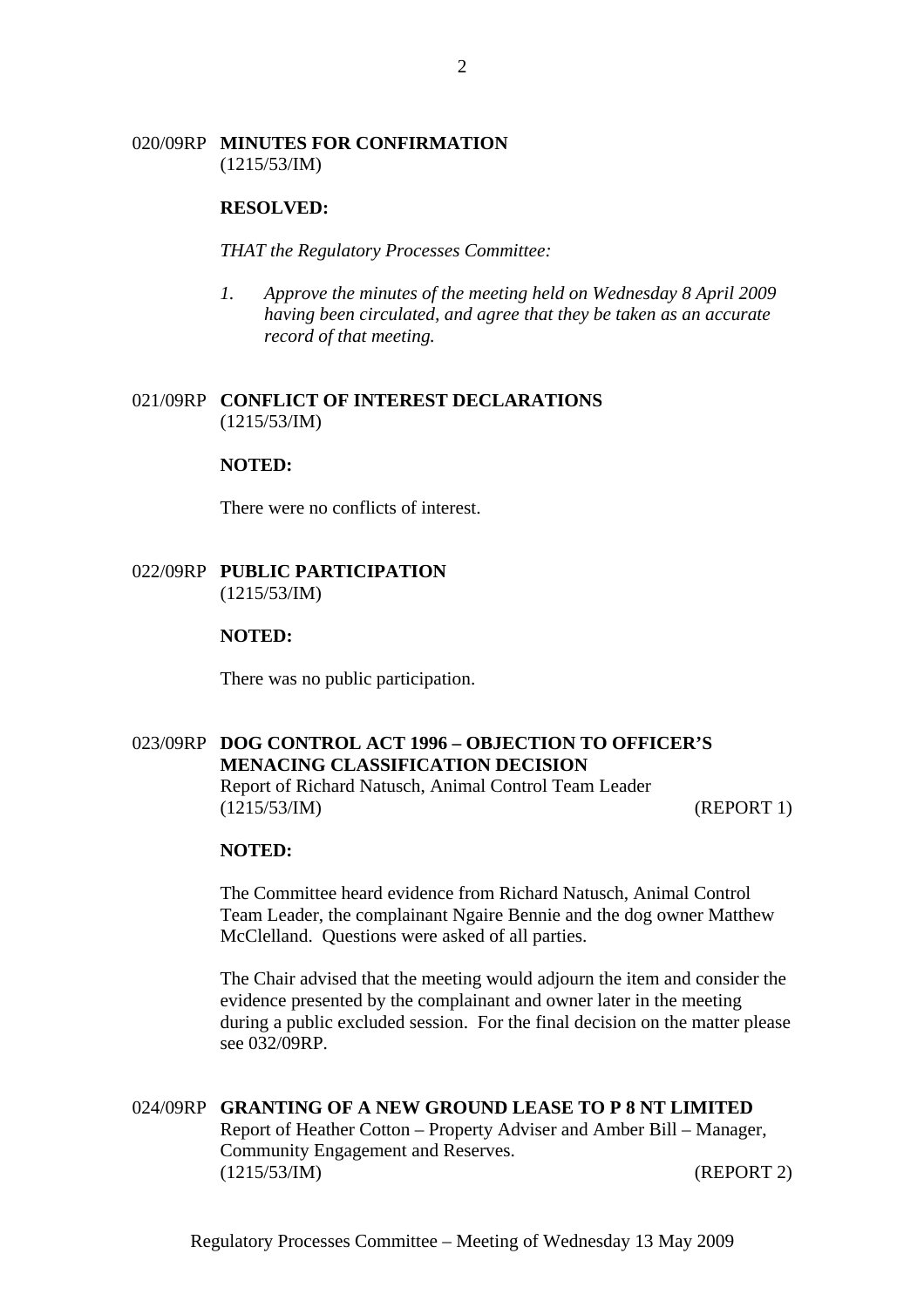## 020/09RP **MINUTES FOR CONFIRMATION** (1215/53/IM)

#### **RESOLVED:**

*THAT the Regulatory Processes Committee:* 

*1. Approve the minutes of the meeting held on Wednesday 8 April 2009 having been circulated, and agree that they be taken as an accurate record of that meeting.* 

## 021/09RP **CONFLICT OF INTEREST DECLARATIONS** (1215/53/IM)

#### **NOTED:**

There were no conflicts of interest.

## 022/09RP **PUBLIC PARTICIPATION** (1215/53/IM)

### **NOTED:**

There was no public participation.

# 023/09RP **DOG CONTROL ACT 1996 – OBJECTION TO OFFICER'S MENACING CLASSIFICATION DECISION**

Report of Richard Natusch, Animal Control Team Leader (1215/53/IM) (REPORT 1)

#### **NOTED:**

The Committee heard evidence from Richard Natusch, Animal Control Team Leader, the complainant Ngaire Bennie and the dog owner Matthew McClelland. Questions were asked of all parties.

The Chair advised that the meeting would adjourn the item and consider the evidence presented by the complainant and owner later in the meeting during a public excluded session. For the final decision on the matter please see 032/09RP.

# 024/09RP **GRANTING OF A NEW GROUND LEASE TO P 8 NT LIMITED** Report of Heather Cotton – Property Adviser and Amber Bill – Manager, Community Engagement and Reserves. (1215/53/IM) (REPORT 2)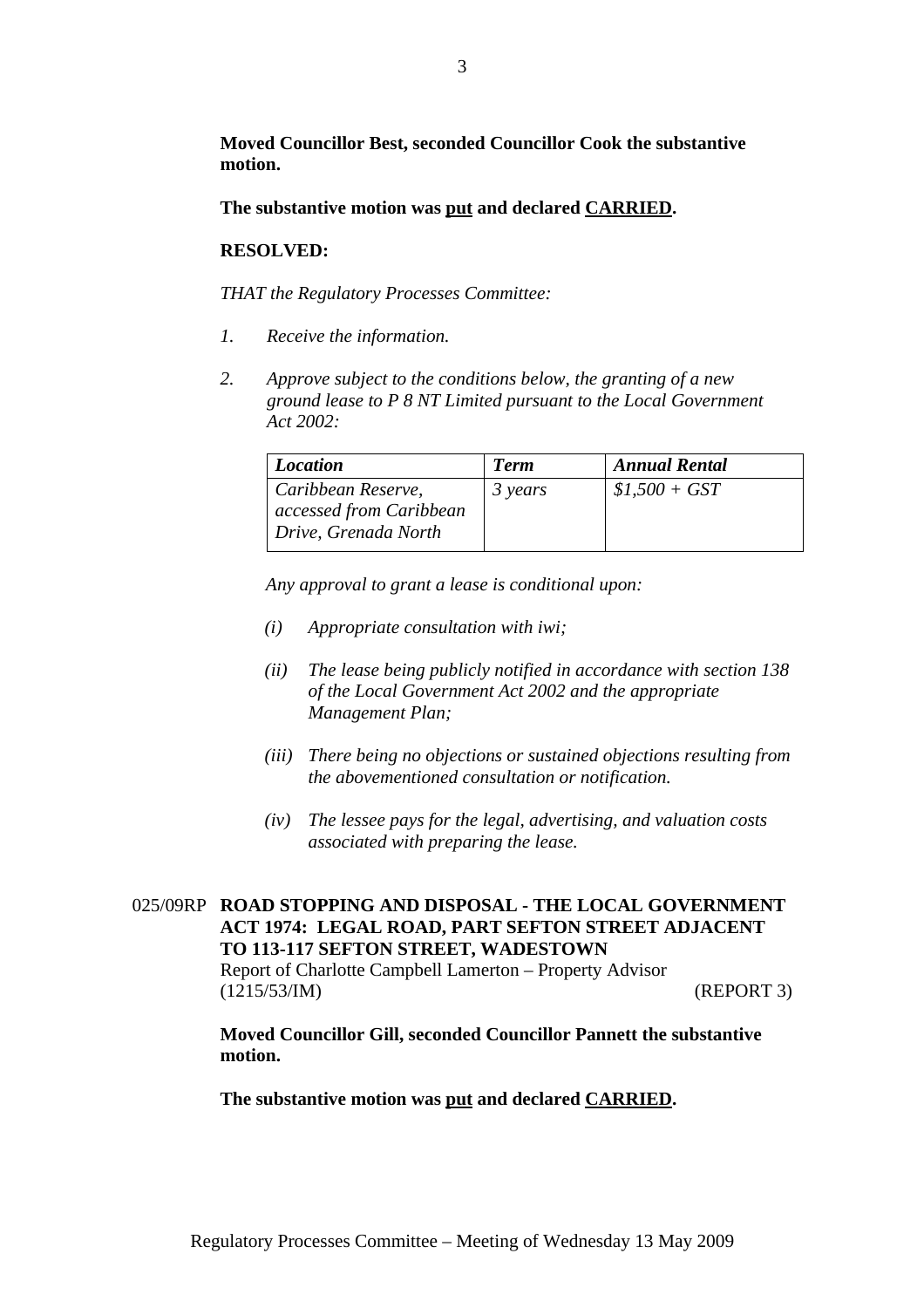**Moved Councillor Best, seconded Councillor Cook the substantive motion.** 

**The substantive motion was put and declared CARRIED.** 

## **RESOLVED:**

*THAT the Regulatory Processes Committee:*

- *1. Receive the information.*
- *2. Approve subject to the conditions below, the granting of a new ground lease to P 8 NT Limited pursuant to the Local Government Act 2002:*

| <b>Location</b>         | <b>Term</b> | <b>Annual Rental</b> |
|-------------------------|-------------|----------------------|
| Caribbean Reserve,      | 3 years     | $$1,500 + GST$       |
| accessed from Caribbean |             |                      |
| Drive, Grenada North    |             |                      |

*Any approval to grant a lease is conditional upon:* 

- *(i) Appropriate consultation with iwi;*
- *(ii) The lease being publicly notified in accordance with section 138 of the Local Government Act 2002 and the appropriate Management Plan;*
- *(iii) There being no objections or sustained objections resulting from the abovementioned consultation or notification.*
- *(iv) The lessee pays for the legal, advertising, and valuation costs associated with preparing the lease.*

# 025/09RP **ROAD STOPPING AND DISPOSAL - THE LOCAL GOVERNMENT ACT 1974: LEGAL ROAD, PART SEFTON STREET ADJACENT TO 113-117 SEFTON STREET, WADESTOWN**

Report of Charlotte Campbell Lamerton – Property Advisor (1215/53/IM) (REPORT 3)

**Moved Councillor Gill, seconded Councillor Pannett the substantive motion.** 

**The substantive motion was put and declared CARRIED.**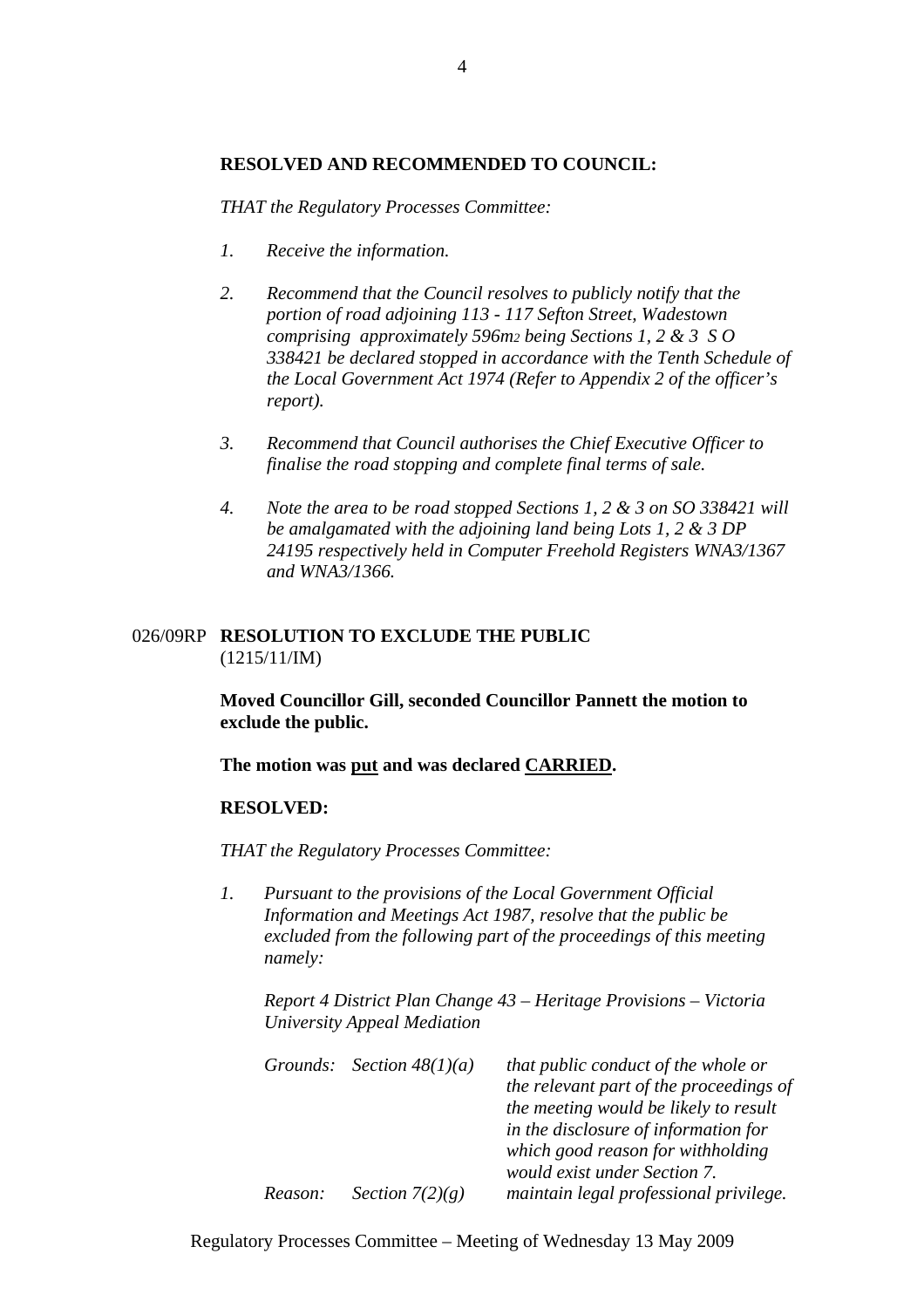# **RESOLVED AND RECOMMENDED TO COUNCIL:**

*THAT the Regulatory Processes Committee:* 

- *1. Receive the information.*
- *2. Recommend that the Council resolves to publicly notify that the portion of road adjoining 113 - 117 Sefton Street, Wadestown comprising approximately 596m2 being Sections 1, 2 & 3 S O 338421 be declared stopped in accordance with the Tenth Schedule of the Local Government Act 1974 (Refer to Appendix 2 of the officer's report).*
- *3. Recommend that Council authorises the Chief Executive Officer to finalise the road stopping and complete final terms of sale.*
- *4. Note the area to be road stopped Sections 1, 2 & 3 on SO 338421 will be amalgamated with the adjoining land being Lots 1, 2 & 3 DP 24195 respectively held in Computer Freehold Registers WNA3/1367 and WNA3/1366.*

# 026/09RP **RESOLUTION TO EXCLUDE THE PUBLIC** (1215/11/IM)

**Moved Councillor Gill, seconded Councillor Pannett the motion to exclude the public.** 

**The motion was put and was declared CARRIED.** 

### **RESOLVED:**

*THAT the Regulatory Processes Committee:* 

*1. Pursuant to the provisions of the Local Government Official Information and Meetings Act 1987, resolve that the public be excluded from the following part of the proceedings of this meeting namely:* 

*Report 4 District Plan Change 43 – Heritage Provisions – Victoria University Appeal Mediation* 

|         | Grounds: Section $48(1)(a)$ | that public conduct of the whole or     |
|---------|-----------------------------|-----------------------------------------|
|         |                             | the relevant part of the proceedings of |
|         |                             | the meeting would be likely to result   |
|         |                             | in the disclosure of information for    |
|         |                             | which good reason for withholding       |
|         |                             | <i>would exist under Section 7.</i>     |
| Reason: | Section $7(2)(g)$           | maintain legal professional privilege.  |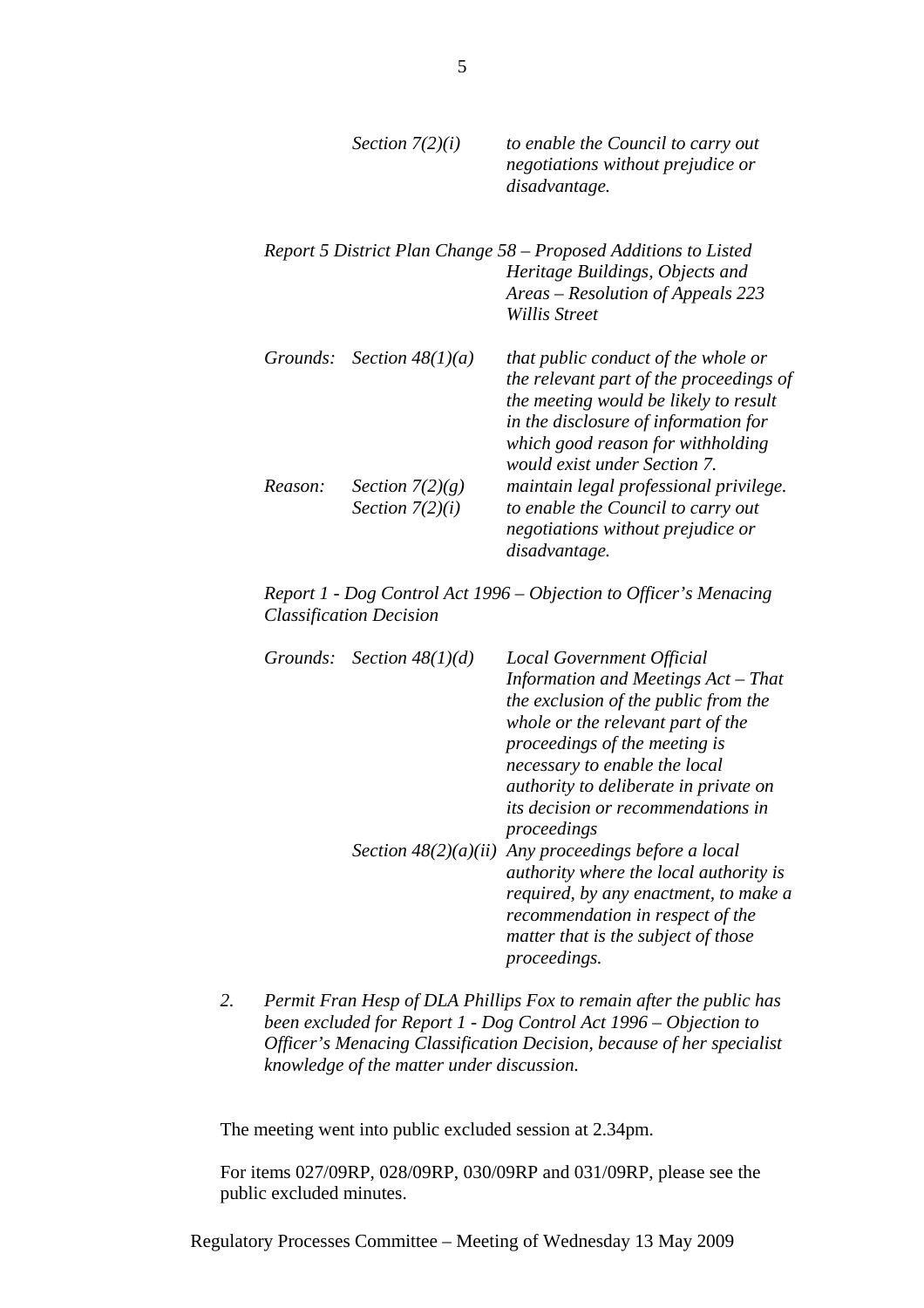|          | Section $7(2)(i)$  | to enable the Council to carry out<br>negotiations without prejudice or<br>disadvantage. |
|----------|--------------------|------------------------------------------------------------------------------------------|
|          |                    | Report 5 District Plan Change 58 – Proposed Additions to Listed                          |
|          |                    | Heritage Buildings, Objects and                                                          |
|          |                    | Areas – Resolution of Appeals 223                                                        |
|          |                    | Willis Street                                                                            |
| Grounds: | Section $48(1)(a)$ | that public conduct of the whole or                                                      |
|          |                    | the relevant part of the proceedings of                                                  |
|          |                    | the meeting would be likely to result                                                    |
|          |                    | in the disclosure of information for                                                     |
|          |                    | which good reason for withholding                                                        |
|          |                    | <i>would exist under Section 7.</i>                                                      |
| Reason:  | Section $7(2)(g)$  | maintain legal professional privilege.                                                   |
|          | Section $7(2)(i)$  | to enable the Council to carry out                                                       |
|          |                    | negotiations without prejudice or                                                        |
|          |                    | disadvantage.                                                                            |

*Report 1 - Dog Control Act 1996 – Objection to Officer's Menacing Classification Decision* 

| Grounds: Section $48(1)(d)$ | Local Government Official<br>Information and Meetings Act - That<br>the exclusion of the public from the                                                                            |
|-----------------------------|-------------------------------------------------------------------------------------------------------------------------------------------------------------------------------------|
|                             | whole or the relevant part of the<br>proceedings of the meeting is                                                                                                                  |
|                             | necessary to enable the local<br><i>authority to deliberate in private on</i>                                                                                                       |
|                             | <i>its decision or recommendations in</i><br>proceedings                                                                                                                            |
|                             | Section $48(2)(a)(ii)$ Any proceedings before a local<br><i>authority where the local authority is</i><br>required, by any enactment, to make a<br>recommendation in respect of the |
|                             | matter that is the subject of those<br><i>proceedings.</i>                                                                                                                          |

*2. Permit Fran Hesp of DLA Phillips Fox to remain after the public has been excluded for Report 1 - Dog Control Act 1996 – Objection to Officer's Menacing Classification Decision, because of her specialist knowledge of the matter under discussion.* 

The meeting went into public excluded session at 2.34pm.

For items 027/09RP, 028/09RP, 030/09RP and 031/09RP, please see the public excluded minutes.

Regulatory Processes Committee – Meeting of Wednesday 13 May 2009

5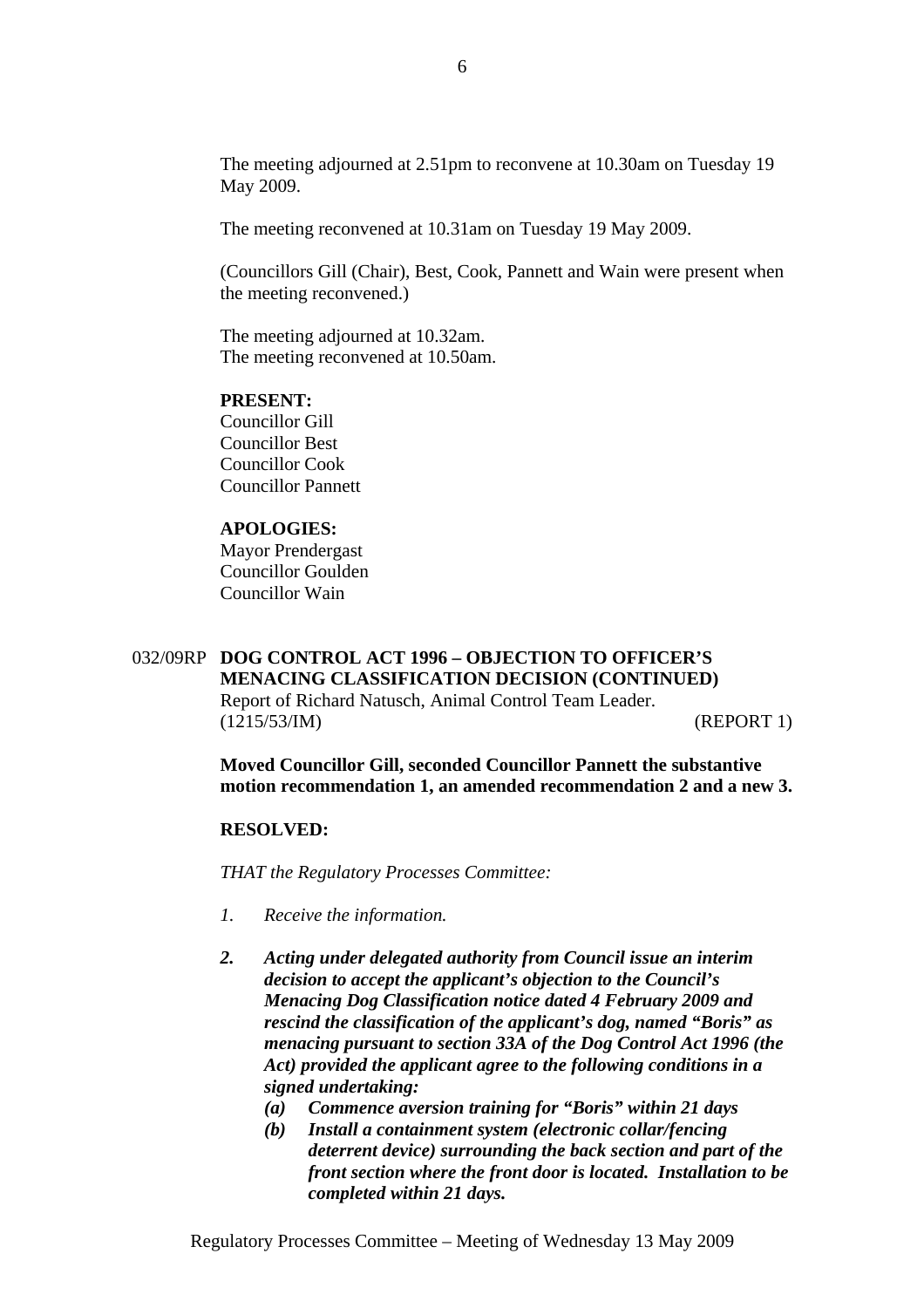The meeting adjourned at 2.51pm to reconvene at 10.30am on Tuesday 19 May 2009.

The meeting reconvened at 10.31am on Tuesday 19 May 2009.

(Councillors Gill (Chair), Best, Cook, Pannett and Wain were present when the meeting reconvened.)

The meeting adjourned at 10.32am. The meeting reconvened at 10.50am.

### **PRESENT:**

Councillor Gill Councillor Best Councillor Cook Councillor Pannett

## **APOLOGIES:**

Mayor Prendergast Councillor Goulden Councillor Wain

# 032/09RP **DOG CONTROL ACT 1996 – OBJECTION TO OFFICER'S MENACING CLASSIFICATION DECISION (CONTINUED)** Report of Richard Natusch, Animal Control Team Leader. (1215/53/IM) (REPORT 1)

**Moved Councillor Gill, seconded Councillor Pannett the substantive motion recommendation 1, an amended recommendation 2 and a new 3.** 

### **RESOLVED:**

*THAT the Regulatory Processes Committee:*

- *1. Receive the information.*
- *2. Acting under delegated authority from Council issue an interim decision to accept the applicant's objection to the Council's Menacing Dog Classification notice dated 4 February 2009 and rescind the classification of the applicant's dog, named "Boris" as menacing pursuant to section 33A of the Dog Control Act 1996 (the Act) provided the applicant agree to the following conditions in a signed undertaking:* 
	- *(a) Commence aversion training for "Boris" within 21 days*
	- *(b) Install a containment system (electronic collar/fencing deterrent device) surrounding the back section and part of the front section where the front door is located. Installation to be completed within 21 days.*